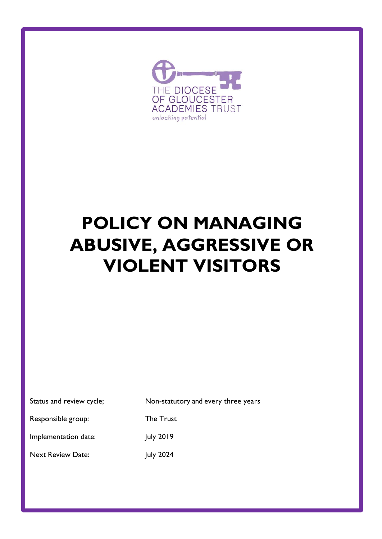

# **POLICY ON MANAGING ABUSIVE, AGGRESSIVE OR VIOLENT VISITORS**

| Status and review cycle; | Non-statutory and every three years |
|--------------------------|-------------------------------------|
| Responsible group:       | The Trust                           |
| Implementation date:     | July 2019                           |
| <b>Next Review Date:</b> | <b>July 2024</b>                    |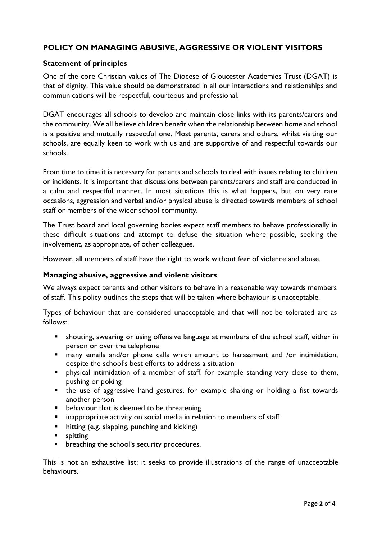# **POLICY ON MANAGING ABUSIVE, AGGRESSIVE OR VIOLENT VISITORS**

### **Statement of principles**

One of the core Christian values of The Diocese of Gloucester Academies Trust (DGAT) is that of dignity. This value should be demonstrated in all our interactions and relationships and communications will be respectful, courteous and professional.

DGAT encourages all schools to develop and maintain close links with its parents/carers and the community. We all believe children benefit when the relationship between home and school is a positive and mutually respectful one. Most parents, carers and others, whilst visiting our schools, are equally keen to work with us and are supportive of and respectful towards our schools.

From time to time it is necessary for parents and schools to deal with issues relating to children or incidents. It is important that discussions between parents/carers and staff are conducted in a calm and respectful manner. In most situations this is what happens, but on very rare occasions, aggression and verbal and/or physical abuse is directed towards members of school staff or members of the wider school community.

The Trust board and local governing bodies expect staff members to behave professionally in these difficult situations and attempt to defuse the situation where possible, seeking the involvement, as appropriate, of other colleagues.

However, all members of staff have the right to work without fear of violence and abuse.

#### **Managing abusive, aggressive and violent visitors**

We always expect parents and other visitors to behave in a reasonable way towards members of staff. This policy outlines the steps that will be taken where behaviour is unacceptable.

Types of behaviour that are considered unacceptable and that will not be tolerated are as follows:

- shouting, swearing or using offensive language at members of the school staff, either in person or over the telephone
- many emails and/or phone calls which amount to harassment and /or intimidation, despite the school's best efforts to address a situation
- **E** physical intimidation of a member of staff, for example standing very close to them, pushing or poking
- the use of aggressive hand gestures, for example shaking or holding a fist towards another person
- **•** behaviour that is deemed to be threatening
- inappropriate activity on social media in relation to members of staff
- hitting (e.g. slapping, punching and kicking)
- spitting
- breaching the school's security procedures.

This is not an exhaustive list; it seeks to provide illustrations of the range of unacceptable behaviours.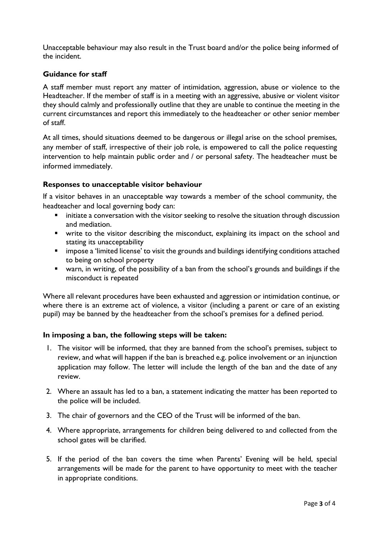Unacceptable behaviour may also result in the Trust board and/or the police being informed of the incident.

## **Guidance for staff**

A staff member must report any matter of intimidation, aggression, abuse or violence to the Headteacher. If the member of staff is in a meeting with an aggressive, abusive or violent visitor they should calmly and professionally outline that they are unable to continue the meeting in the current circumstances and report this immediately to the headteacher or other senior member of staff.

At all times, should situations deemed to be dangerous or illegal arise on the school premises, any member of staff, irrespective of their job role, is empowered to call the police requesting intervention to help maintain public order and / or personal safety. The headteacher must be informed immediately.

#### **Responses to unacceptable visitor behaviour**

If a visitor behaves in an unacceptable way towards a member of the school community, the headteacher and local governing body can:

- initiate a conversation with the visitor seeking to resolve the situation through discussion and mediation.
- write to the visitor describing the misconduct, explaining its impact on the school and stating its unacceptability
- impose a 'limited license' to visit the grounds and buildings identifying conditions attached to being on school property
- warn, in writing, of the possibility of a ban from the school's grounds and buildings if the misconduct is repeated

Where all relevant procedures have been exhausted and aggression or intimidation continue, or where there is an extreme act of violence, a visitor (including a parent or care of an existing pupil) may be banned by the headteacher from the school's premises for a defined period.

#### **In imposing a ban, the following steps will be taken:**

- 1. The visitor will be informed, that they are banned from the school's premises, subject to review, and what will happen if the ban is breached e.g. police involvement or an injunction application may follow. The letter will include the length of the ban and the date of any review.
- 2. Where an assault has led to a ban, a statement indicating the matter has been reported to the police will be included.
- 3. The chair of governors and the CEO of the Trust will be informed of the ban.
- 4. Where appropriate, arrangements for children being delivered to and collected from the school gates will be clarified.
- 5. If the period of the ban covers the time when Parents' Evening will be held, special arrangements will be made for the parent to have opportunity to meet with the teacher in appropriate conditions.